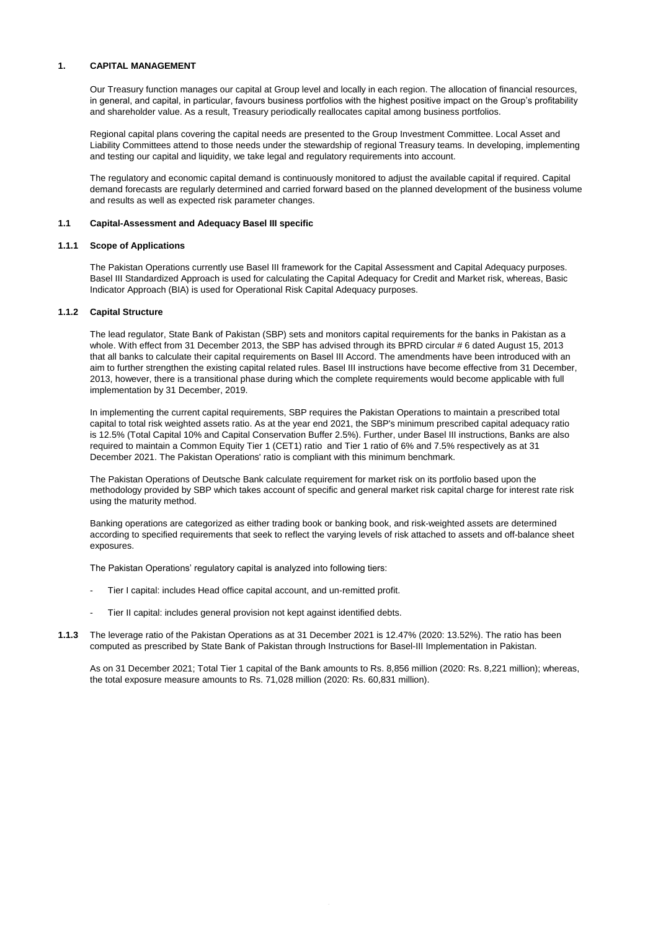### **1. CAPITAL MANAGEMENT**

Our Treasury function manages our capital at Group level and locally in each region. The allocation of financial resources, in general, and capital, in particular, favours business portfolios with the highest positive impact on the Group's profitability and shareholder value. As a result, Treasury periodically reallocates capital among business portfolios.

Regional capital plans covering the capital needs are presented to the Group Investment Committee. Local Asset and Liability Committees attend to those needs under the stewardship of regional Treasury teams. In developing, implementing and testing our capital and liquidity, we take legal and regulatory requirements into account.

The regulatory and economic capital demand is continuously monitored to adjust the available capital if required. Capital demand forecasts are regularly determined and carried forward based on the planned development of the business volume and results as well as expected risk parameter changes.

#### **1.1 Capital-Assessment and Adequacy Basel III specific**

#### **1.1.1 Scope of Applications**

The Pakistan Operations currently use Basel III framework for the Capital Assessment and Capital Adequacy purposes. Basel III Standardized Approach is used for calculating the Capital Adequacy for Credit and Market risk, whereas, Basic Indicator Approach (BIA) is used for Operational Risk Capital Adequacy purposes.

#### **1.1.2 Capital Structure**

The lead regulator, State Bank of Pakistan (SBP) sets and monitors capital requirements for the banks in Pakistan as a whole. With effect from 31 December 2013, the SBP has advised through its BPRD circular # 6 dated August 15, 2013 that all banks to calculate their capital requirements on Basel III Accord. The amendments have been introduced with an aim to further strengthen the existing capital related rules. Basel III instructions have become effective from 31 December, 2013, however, there is a transitional phase during which the complete requirements would become applicable with full implementation by 31 December, 2019.

In implementing the current capital requirements, SBP requires the Pakistan Operations to maintain a prescribed total capital to total risk weighted assets ratio. As at the year end 2021, the SBP's minimum prescribed capital adequacy ratio is 12.5% (Total Capital 10% and Capital Conservation Buffer 2.5%). Further, under Basel III instructions, Banks are also required to maintain a Common Equity Tier 1 (CET1) ratio and Tier 1 ratio of 6% and 7.5% respectively as at 31 December 2021. The Pakistan Operations' ratio is compliant with this minimum benchmark.

The Pakistan Operations of Deutsche Bank calculate requirement for market risk on its portfolio based upon the methodology provided by SBP which takes account of specific and general market risk capital charge for interest rate risk using the maturity method.

Banking operations are categorized as either trading book or banking book, and risk-weighted assets are determined according to specified requirements that seek to reflect the varying levels of risk attached to assets and off-balance sheet exposures.

The Pakistan Operations' regulatory capital is analyzed into following tiers:

- Tier I capital: includes Head office capital account, and un-remitted profit.
- Tier II capital: includes general provision not kept against identified debts.
- **1.1.3** The leverage ratio of the Pakistan Operations as at 31 December 2021 is 12.47% (2020: 13.52%). The ratio has been computed as prescribed by State Bank of Pakistan through Instructions for Basel-III Implementation in Pakistan.

As on 31 December 2021; Total Tier 1 capital of the Bank amounts to Rs. 8,856 million (2020: Rs. 8,221 million); whereas, the total exposure measure amounts to Rs. 71,028 million (2020: Rs. 60,831 million).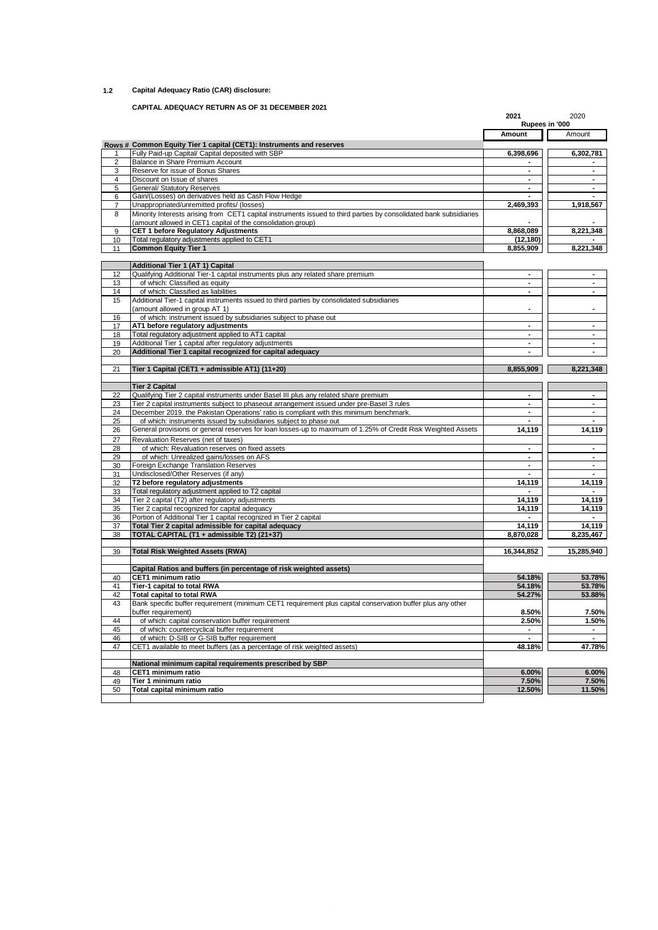### **1.2 Capital Adequacy Ratio (CAR) disclosure:**

## **CAPITAL ADEQUACY RETURN AS OF 31 DECEMBER 2021**

| Rupees in '000<br>Amount<br>Rows # Common Equity Tier 1 capital (CET1): Instruments and reserves<br>Fully Paid-up Capital/ Capital deposited with SBP<br>6,398,696<br>1<br>Balance in Share Premium Account<br>$\overline{2}$<br>Reserve for issue of Bonus Shares<br>3<br>۰<br>Discount on Issue of shares<br>4<br>$\blacksquare$<br><b>General/ Statutory Reserves</b><br>5<br>٠<br>Gain/(Losses) on derivatives held as Cash Flow Hedge<br>6<br>Unappropriated/unremitted profits/ (losses)<br>$\overline{7}$<br>2,469,393<br>Minority Interests arising from CET1 capital instruments issued to third parties by consolidated bank subsidiaries<br>8<br>(amount allowed in CET1 capital of the consolidation group)<br><b>CET 1 before Regulatory Adjustments</b><br>8,868,089<br>9<br>10<br>Total requlatory adjustments applied to CET1<br>(12, 180)<br><b>Common Equity Tier 1</b><br>11<br>8,855,909<br><b>Additional Tier 1 (AT 1) Capital</b><br>Qualifying Additional Tier-1 capital instruments plus any related share premium<br>12<br>$\blacksquare$<br>of which: Classified as equity<br>13<br>14<br>of which: Classified as liabilities<br>٠<br>Additional Tier-1 capital instruments issued to third parties by consolidated subsidiaries<br>15<br>(amount allowed in group AT 1)<br>of which: instrument issued by subsidiaries subject to phase out<br>16<br>AT1 before regulatory adjustments<br>17<br>٠<br>Total regulatory adjustment applied to AT1 capital<br>18<br>Additional Tier 1 capital after regulatory adjustments<br>19<br>$\blacksquare$<br>20<br>Additional Tier 1 capital recognized for capital adequacy<br>21<br>Tier 1 Capital (CET1 + admissible AT1) (11+20)<br>8,855,909<br><b>Tier 2 Capital</b><br>22<br>Qualifying Tier 2 capital instruments under Basel III plus any related share premium<br>$\blacksquare$<br>Tier 2 capital instruments subject to phaseout arrangement issued under pre-Basel 3 rules<br>23<br>۰<br>24<br>December 2019, the Pakistan Operations' ratio is compliant with this minimum benchmark.<br>$\blacksquare$<br>of which: instruments issued by subsidiaries subject to phase out<br>25<br>General provisions or general reserves for loan losses-up to maximum of 1.25% of Credit Risk Weighted Assets<br>26<br>14,119<br>27<br>Revaluation Reserves (net of taxes)<br>of which: Revaluation reserves on fixed assets<br>28<br>of which: Unrealized gains/losses on AFS<br>29<br>$\blacksquare$<br>Foreign Exchange Translation Reserves<br>30<br>Undisclosed/Other Reserves (if any)<br>31<br>14,119<br>32<br>T2 before regulatory adjustments<br>33<br>Total regulatory adjustment applied to T2 capital<br>Tier 2 capital (T2) after regulatory adjustments<br>14,119<br>34<br>Tier 2 capital recognized for capital adequacy<br>35<br>14,119 | Amount<br>6,302,781<br>$\blacksquare$<br>$\blacksquare$<br>$\blacksquare$<br>۰.<br>1,918,567<br>8,221,348<br>8,221,348<br>۰<br>$\blacksquare$<br>$\blacksquare$<br>$\blacksquare$<br>$\sim$<br>8,221,348 |
|-----------------------------------------------------------------------------------------------------------------------------------------------------------------------------------------------------------------------------------------------------------------------------------------------------------------------------------------------------------------------------------------------------------------------------------------------------------------------------------------------------------------------------------------------------------------------------------------------------------------------------------------------------------------------------------------------------------------------------------------------------------------------------------------------------------------------------------------------------------------------------------------------------------------------------------------------------------------------------------------------------------------------------------------------------------------------------------------------------------------------------------------------------------------------------------------------------------------------------------------------------------------------------------------------------------------------------------------------------------------------------------------------------------------------------------------------------------------------------------------------------------------------------------------------------------------------------------------------------------------------------------------------------------------------------------------------------------------------------------------------------------------------------------------------------------------------------------------------------------------------------------------------------------------------------------------------------------------------------------------------------------------------------------------------------------------------------------------------------------------------------------------------------------------------------------------------------------------------------------------------------------------------------------------------------------------------------------------------------------------------------------------------------------------------------------------------------------------------------------------------------------------------------------------------------------------------------------------------------------------------------------------------------------------------------------------------------------------------------------------------------------------------------------------------------------------------------|----------------------------------------------------------------------------------------------------------------------------------------------------------------------------------------------------------|
|                                                                                                                                                                                                                                                                                                                                                                                                                                                                                                                                                                                                                                                                                                                                                                                                                                                                                                                                                                                                                                                                                                                                                                                                                                                                                                                                                                                                                                                                                                                                                                                                                                                                                                                                                                                                                                                                                                                                                                                                                                                                                                                                                                                                                                                                                                                                                                                                                                                                                                                                                                                                                                                                                                                                                                                                                             |                                                                                                                                                                                                          |
|                                                                                                                                                                                                                                                                                                                                                                                                                                                                                                                                                                                                                                                                                                                                                                                                                                                                                                                                                                                                                                                                                                                                                                                                                                                                                                                                                                                                                                                                                                                                                                                                                                                                                                                                                                                                                                                                                                                                                                                                                                                                                                                                                                                                                                                                                                                                                                                                                                                                                                                                                                                                                                                                                                                                                                                                                             |                                                                                                                                                                                                          |
|                                                                                                                                                                                                                                                                                                                                                                                                                                                                                                                                                                                                                                                                                                                                                                                                                                                                                                                                                                                                                                                                                                                                                                                                                                                                                                                                                                                                                                                                                                                                                                                                                                                                                                                                                                                                                                                                                                                                                                                                                                                                                                                                                                                                                                                                                                                                                                                                                                                                                                                                                                                                                                                                                                                                                                                                                             |                                                                                                                                                                                                          |
|                                                                                                                                                                                                                                                                                                                                                                                                                                                                                                                                                                                                                                                                                                                                                                                                                                                                                                                                                                                                                                                                                                                                                                                                                                                                                                                                                                                                                                                                                                                                                                                                                                                                                                                                                                                                                                                                                                                                                                                                                                                                                                                                                                                                                                                                                                                                                                                                                                                                                                                                                                                                                                                                                                                                                                                                                             |                                                                                                                                                                                                          |
|                                                                                                                                                                                                                                                                                                                                                                                                                                                                                                                                                                                                                                                                                                                                                                                                                                                                                                                                                                                                                                                                                                                                                                                                                                                                                                                                                                                                                                                                                                                                                                                                                                                                                                                                                                                                                                                                                                                                                                                                                                                                                                                                                                                                                                                                                                                                                                                                                                                                                                                                                                                                                                                                                                                                                                                                                             |                                                                                                                                                                                                          |
|                                                                                                                                                                                                                                                                                                                                                                                                                                                                                                                                                                                                                                                                                                                                                                                                                                                                                                                                                                                                                                                                                                                                                                                                                                                                                                                                                                                                                                                                                                                                                                                                                                                                                                                                                                                                                                                                                                                                                                                                                                                                                                                                                                                                                                                                                                                                                                                                                                                                                                                                                                                                                                                                                                                                                                                                                             |                                                                                                                                                                                                          |
|                                                                                                                                                                                                                                                                                                                                                                                                                                                                                                                                                                                                                                                                                                                                                                                                                                                                                                                                                                                                                                                                                                                                                                                                                                                                                                                                                                                                                                                                                                                                                                                                                                                                                                                                                                                                                                                                                                                                                                                                                                                                                                                                                                                                                                                                                                                                                                                                                                                                                                                                                                                                                                                                                                                                                                                                                             |                                                                                                                                                                                                          |
|                                                                                                                                                                                                                                                                                                                                                                                                                                                                                                                                                                                                                                                                                                                                                                                                                                                                                                                                                                                                                                                                                                                                                                                                                                                                                                                                                                                                                                                                                                                                                                                                                                                                                                                                                                                                                                                                                                                                                                                                                                                                                                                                                                                                                                                                                                                                                                                                                                                                                                                                                                                                                                                                                                                                                                                                                             |                                                                                                                                                                                                          |
|                                                                                                                                                                                                                                                                                                                                                                                                                                                                                                                                                                                                                                                                                                                                                                                                                                                                                                                                                                                                                                                                                                                                                                                                                                                                                                                                                                                                                                                                                                                                                                                                                                                                                                                                                                                                                                                                                                                                                                                                                                                                                                                                                                                                                                                                                                                                                                                                                                                                                                                                                                                                                                                                                                                                                                                                                             |                                                                                                                                                                                                          |
|                                                                                                                                                                                                                                                                                                                                                                                                                                                                                                                                                                                                                                                                                                                                                                                                                                                                                                                                                                                                                                                                                                                                                                                                                                                                                                                                                                                                                                                                                                                                                                                                                                                                                                                                                                                                                                                                                                                                                                                                                                                                                                                                                                                                                                                                                                                                                                                                                                                                                                                                                                                                                                                                                                                                                                                                                             |                                                                                                                                                                                                          |
|                                                                                                                                                                                                                                                                                                                                                                                                                                                                                                                                                                                                                                                                                                                                                                                                                                                                                                                                                                                                                                                                                                                                                                                                                                                                                                                                                                                                                                                                                                                                                                                                                                                                                                                                                                                                                                                                                                                                                                                                                                                                                                                                                                                                                                                                                                                                                                                                                                                                                                                                                                                                                                                                                                                                                                                                                             |                                                                                                                                                                                                          |
|                                                                                                                                                                                                                                                                                                                                                                                                                                                                                                                                                                                                                                                                                                                                                                                                                                                                                                                                                                                                                                                                                                                                                                                                                                                                                                                                                                                                                                                                                                                                                                                                                                                                                                                                                                                                                                                                                                                                                                                                                                                                                                                                                                                                                                                                                                                                                                                                                                                                                                                                                                                                                                                                                                                                                                                                                             |                                                                                                                                                                                                          |
|                                                                                                                                                                                                                                                                                                                                                                                                                                                                                                                                                                                                                                                                                                                                                                                                                                                                                                                                                                                                                                                                                                                                                                                                                                                                                                                                                                                                                                                                                                                                                                                                                                                                                                                                                                                                                                                                                                                                                                                                                                                                                                                                                                                                                                                                                                                                                                                                                                                                                                                                                                                                                                                                                                                                                                                                                             |                                                                                                                                                                                                          |
|                                                                                                                                                                                                                                                                                                                                                                                                                                                                                                                                                                                                                                                                                                                                                                                                                                                                                                                                                                                                                                                                                                                                                                                                                                                                                                                                                                                                                                                                                                                                                                                                                                                                                                                                                                                                                                                                                                                                                                                                                                                                                                                                                                                                                                                                                                                                                                                                                                                                                                                                                                                                                                                                                                                                                                                                                             |                                                                                                                                                                                                          |
|                                                                                                                                                                                                                                                                                                                                                                                                                                                                                                                                                                                                                                                                                                                                                                                                                                                                                                                                                                                                                                                                                                                                                                                                                                                                                                                                                                                                                                                                                                                                                                                                                                                                                                                                                                                                                                                                                                                                                                                                                                                                                                                                                                                                                                                                                                                                                                                                                                                                                                                                                                                                                                                                                                                                                                                                                             |                                                                                                                                                                                                          |
|                                                                                                                                                                                                                                                                                                                                                                                                                                                                                                                                                                                                                                                                                                                                                                                                                                                                                                                                                                                                                                                                                                                                                                                                                                                                                                                                                                                                                                                                                                                                                                                                                                                                                                                                                                                                                                                                                                                                                                                                                                                                                                                                                                                                                                                                                                                                                                                                                                                                                                                                                                                                                                                                                                                                                                                                                             |                                                                                                                                                                                                          |
|                                                                                                                                                                                                                                                                                                                                                                                                                                                                                                                                                                                                                                                                                                                                                                                                                                                                                                                                                                                                                                                                                                                                                                                                                                                                                                                                                                                                                                                                                                                                                                                                                                                                                                                                                                                                                                                                                                                                                                                                                                                                                                                                                                                                                                                                                                                                                                                                                                                                                                                                                                                                                                                                                                                                                                                                                             |                                                                                                                                                                                                          |
|                                                                                                                                                                                                                                                                                                                                                                                                                                                                                                                                                                                                                                                                                                                                                                                                                                                                                                                                                                                                                                                                                                                                                                                                                                                                                                                                                                                                                                                                                                                                                                                                                                                                                                                                                                                                                                                                                                                                                                                                                                                                                                                                                                                                                                                                                                                                                                                                                                                                                                                                                                                                                                                                                                                                                                                                                             |                                                                                                                                                                                                          |
|                                                                                                                                                                                                                                                                                                                                                                                                                                                                                                                                                                                                                                                                                                                                                                                                                                                                                                                                                                                                                                                                                                                                                                                                                                                                                                                                                                                                                                                                                                                                                                                                                                                                                                                                                                                                                                                                                                                                                                                                                                                                                                                                                                                                                                                                                                                                                                                                                                                                                                                                                                                                                                                                                                                                                                                                                             |                                                                                                                                                                                                          |
|                                                                                                                                                                                                                                                                                                                                                                                                                                                                                                                                                                                                                                                                                                                                                                                                                                                                                                                                                                                                                                                                                                                                                                                                                                                                                                                                                                                                                                                                                                                                                                                                                                                                                                                                                                                                                                                                                                                                                                                                                                                                                                                                                                                                                                                                                                                                                                                                                                                                                                                                                                                                                                                                                                                                                                                                                             |                                                                                                                                                                                                          |
|                                                                                                                                                                                                                                                                                                                                                                                                                                                                                                                                                                                                                                                                                                                                                                                                                                                                                                                                                                                                                                                                                                                                                                                                                                                                                                                                                                                                                                                                                                                                                                                                                                                                                                                                                                                                                                                                                                                                                                                                                                                                                                                                                                                                                                                                                                                                                                                                                                                                                                                                                                                                                                                                                                                                                                                                                             |                                                                                                                                                                                                          |
|                                                                                                                                                                                                                                                                                                                                                                                                                                                                                                                                                                                                                                                                                                                                                                                                                                                                                                                                                                                                                                                                                                                                                                                                                                                                                                                                                                                                                                                                                                                                                                                                                                                                                                                                                                                                                                                                                                                                                                                                                                                                                                                                                                                                                                                                                                                                                                                                                                                                                                                                                                                                                                                                                                                                                                                                                             |                                                                                                                                                                                                          |
|                                                                                                                                                                                                                                                                                                                                                                                                                                                                                                                                                                                                                                                                                                                                                                                                                                                                                                                                                                                                                                                                                                                                                                                                                                                                                                                                                                                                                                                                                                                                                                                                                                                                                                                                                                                                                                                                                                                                                                                                                                                                                                                                                                                                                                                                                                                                                                                                                                                                                                                                                                                                                                                                                                                                                                                                                             |                                                                                                                                                                                                          |
|                                                                                                                                                                                                                                                                                                                                                                                                                                                                                                                                                                                                                                                                                                                                                                                                                                                                                                                                                                                                                                                                                                                                                                                                                                                                                                                                                                                                                                                                                                                                                                                                                                                                                                                                                                                                                                                                                                                                                                                                                                                                                                                                                                                                                                                                                                                                                                                                                                                                                                                                                                                                                                                                                                                                                                                                                             |                                                                                                                                                                                                          |
|                                                                                                                                                                                                                                                                                                                                                                                                                                                                                                                                                                                                                                                                                                                                                                                                                                                                                                                                                                                                                                                                                                                                                                                                                                                                                                                                                                                                                                                                                                                                                                                                                                                                                                                                                                                                                                                                                                                                                                                                                                                                                                                                                                                                                                                                                                                                                                                                                                                                                                                                                                                                                                                                                                                                                                                                                             |                                                                                                                                                                                                          |
|                                                                                                                                                                                                                                                                                                                                                                                                                                                                                                                                                                                                                                                                                                                                                                                                                                                                                                                                                                                                                                                                                                                                                                                                                                                                                                                                                                                                                                                                                                                                                                                                                                                                                                                                                                                                                                                                                                                                                                                                                                                                                                                                                                                                                                                                                                                                                                                                                                                                                                                                                                                                                                                                                                                                                                                                                             |                                                                                                                                                                                                          |
|                                                                                                                                                                                                                                                                                                                                                                                                                                                                                                                                                                                                                                                                                                                                                                                                                                                                                                                                                                                                                                                                                                                                                                                                                                                                                                                                                                                                                                                                                                                                                                                                                                                                                                                                                                                                                                                                                                                                                                                                                                                                                                                                                                                                                                                                                                                                                                                                                                                                                                                                                                                                                                                                                                                                                                                                                             | $\blacksquare$                                                                                                                                                                                           |
|                                                                                                                                                                                                                                                                                                                                                                                                                                                                                                                                                                                                                                                                                                                                                                                                                                                                                                                                                                                                                                                                                                                                                                                                                                                                                                                                                                                                                                                                                                                                                                                                                                                                                                                                                                                                                                                                                                                                                                                                                                                                                                                                                                                                                                                                                                                                                                                                                                                                                                                                                                                                                                                                                                                                                                                                                             | $\blacksquare$                                                                                                                                                                                           |
|                                                                                                                                                                                                                                                                                                                                                                                                                                                                                                                                                                                                                                                                                                                                                                                                                                                                                                                                                                                                                                                                                                                                                                                                                                                                                                                                                                                                                                                                                                                                                                                                                                                                                                                                                                                                                                                                                                                                                                                                                                                                                                                                                                                                                                                                                                                                                                                                                                                                                                                                                                                                                                                                                                                                                                                                                             | $\blacksquare$                                                                                                                                                                                           |
|                                                                                                                                                                                                                                                                                                                                                                                                                                                                                                                                                                                                                                                                                                                                                                                                                                                                                                                                                                                                                                                                                                                                                                                                                                                                                                                                                                                                                                                                                                                                                                                                                                                                                                                                                                                                                                                                                                                                                                                                                                                                                                                                                                                                                                                                                                                                                                                                                                                                                                                                                                                                                                                                                                                                                                                                                             | $\blacksquare$                                                                                                                                                                                           |
|                                                                                                                                                                                                                                                                                                                                                                                                                                                                                                                                                                                                                                                                                                                                                                                                                                                                                                                                                                                                                                                                                                                                                                                                                                                                                                                                                                                                                                                                                                                                                                                                                                                                                                                                                                                                                                                                                                                                                                                                                                                                                                                                                                                                                                                                                                                                                                                                                                                                                                                                                                                                                                                                                                                                                                                                                             | 14,119                                                                                                                                                                                                   |
|                                                                                                                                                                                                                                                                                                                                                                                                                                                                                                                                                                                                                                                                                                                                                                                                                                                                                                                                                                                                                                                                                                                                                                                                                                                                                                                                                                                                                                                                                                                                                                                                                                                                                                                                                                                                                                                                                                                                                                                                                                                                                                                                                                                                                                                                                                                                                                                                                                                                                                                                                                                                                                                                                                                                                                                                                             |                                                                                                                                                                                                          |
|                                                                                                                                                                                                                                                                                                                                                                                                                                                                                                                                                                                                                                                                                                                                                                                                                                                                                                                                                                                                                                                                                                                                                                                                                                                                                                                                                                                                                                                                                                                                                                                                                                                                                                                                                                                                                                                                                                                                                                                                                                                                                                                                                                                                                                                                                                                                                                                                                                                                                                                                                                                                                                                                                                                                                                                                                             | $\blacksquare$                                                                                                                                                                                           |
|                                                                                                                                                                                                                                                                                                                                                                                                                                                                                                                                                                                                                                                                                                                                                                                                                                                                                                                                                                                                                                                                                                                                                                                                                                                                                                                                                                                                                                                                                                                                                                                                                                                                                                                                                                                                                                                                                                                                                                                                                                                                                                                                                                                                                                                                                                                                                                                                                                                                                                                                                                                                                                                                                                                                                                                                                             |                                                                                                                                                                                                          |
|                                                                                                                                                                                                                                                                                                                                                                                                                                                                                                                                                                                                                                                                                                                                                                                                                                                                                                                                                                                                                                                                                                                                                                                                                                                                                                                                                                                                                                                                                                                                                                                                                                                                                                                                                                                                                                                                                                                                                                                                                                                                                                                                                                                                                                                                                                                                                                                                                                                                                                                                                                                                                                                                                                                                                                                                                             | $\blacksquare$                                                                                                                                                                                           |
|                                                                                                                                                                                                                                                                                                                                                                                                                                                                                                                                                                                                                                                                                                                                                                                                                                                                                                                                                                                                                                                                                                                                                                                                                                                                                                                                                                                                                                                                                                                                                                                                                                                                                                                                                                                                                                                                                                                                                                                                                                                                                                                                                                                                                                                                                                                                                                                                                                                                                                                                                                                                                                                                                                                                                                                                                             | 14,119                                                                                                                                                                                                   |
|                                                                                                                                                                                                                                                                                                                                                                                                                                                                                                                                                                                                                                                                                                                                                                                                                                                                                                                                                                                                                                                                                                                                                                                                                                                                                                                                                                                                                                                                                                                                                                                                                                                                                                                                                                                                                                                                                                                                                                                                                                                                                                                                                                                                                                                                                                                                                                                                                                                                                                                                                                                                                                                                                                                                                                                                                             |                                                                                                                                                                                                          |
|                                                                                                                                                                                                                                                                                                                                                                                                                                                                                                                                                                                                                                                                                                                                                                                                                                                                                                                                                                                                                                                                                                                                                                                                                                                                                                                                                                                                                                                                                                                                                                                                                                                                                                                                                                                                                                                                                                                                                                                                                                                                                                                                                                                                                                                                                                                                                                                                                                                                                                                                                                                                                                                                                                                                                                                                                             | 14,119                                                                                                                                                                                                   |
|                                                                                                                                                                                                                                                                                                                                                                                                                                                                                                                                                                                                                                                                                                                                                                                                                                                                                                                                                                                                                                                                                                                                                                                                                                                                                                                                                                                                                                                                                                                                                                                                                                                                                                                                                                                                                                                                                                                                                                                                                                                                                                                                                                                                                                                                                                                                                                                                                                                                                                                                                                                                                                                                                                                                                                                                                             | 14,119                                                                                                                                                                                                   |
| 36<br>Portion of Additional Tier 1 capital recognized in Tier 2 capital                                                                                                                                                                                                                                                                                                                                                                                                                                                                                                                                                                                                                                                                                                                                                                                                                                                                                                                                                                                                                                                                                                                                                                                                                                                                                                                                                                                                                                                                                                                                                                                                                                                                                                                                                                                                                                                                                                                                                                                                                                                                                                                                                                                                                                                                                                                                                                                                                                                                                                                                                                                                                                                                                                                                                     |                                                                                                                                                                                                          |
| Total Tier 2 capital admissible for capital adequacy<br>14,119<br>37                                                                                                                                                                                                                                                                                                                                                                                                                                                                                                                                                                                                                                                                                                                                                                                                                                                                                                                                                                                                                                                                                                                                                                                                                                                                                                                                                                                                                                                                                                                                                                                                                                                                                                                                                                                                                                                                                                                                                                                                                                                                                                                                                                                                                                                                                                                                                                                                                                                                                                                                                                                                                                                                                                                                                        | 14,119                                                                                                                                                                                                   |
| TOTAL CAPITAL (T1 + admissible T2) (21+37)<br>38<br>8,870,028                                                                                                                                                                                                                                                                                                                                                                                                                                                                                                                                                                                                                                                                                                                                                                                                                                                                                                                                                                                                                                                                                                                                                                                                                                                                                                                                                                                                                                                                                                                                                                                                                                                                                                                                                                                                                                                                                                                                                                                                                                                                                                                                                                                                                                                                                                                                                                                                                                                                                                                                                                                                                                                                                                                                                               | 8,235,467                                                                                                                                                                                                |
| 16,344,852<br><b>Total Risk Weighted Assets (RWA)</b><br>39                                                                                                                                                                                                                                                                                                                                                                                                                                                                                                                                                                                                                                                                                                                                                                                                                                                                                                                                                                                                                                                                                                                                                                                                                                                                                                                                                                                                                                                                                                                                                                                                                                                                                                                                                                                                                                                                                                                                                                                                                                                                                                                                                                                                                                                                                                                                                                                                                                                                                                                                                                                                                                                                                                                                                                 | 15,285,940                                                                                                                                                                                               |
| Capital Ratios and buffers (in percentage of risk weighted assets)                                                                                                                                                                                                                                                                                                                                                                                                                                                                                                                                                                                                                                                                                                                                                                                                                                                                                                                                                                                                                                                                                                                                                                                                                                                                                                                                                                                                                                                                                                                                                                                                                                                                                                                                                                                                                                                                                                                                                                                                                                                                                                                                                                                                                                                                                                                                                                                                                                                                                                                                                                                                                                                                                                                                                          |                                                                                                                                                                                                          |
| 40<br>CET1 minimum ratio<br>54.18%                                                                                                                                                                                                                                                                                                                                                                                                                                                                                                                                                                                                                                                                                                                                                                                                                                                                                                                                                                                                                                                                                                                                                                                                                                                                                                                                                                                                                                                                                                                                                                                                                                                                                                                                                                                                                                                                                                                                                                                                                                                                                                                                                                                                                                                                                                                                                                                                                                                                                                                                                                                                                                                                                                                                                                                          | 53.78%                                                                                                                                                                                                   |
| Tier-1 capital to total RWA<br>54.18%<br>41                                                                                                                                                                                                                                                                                                                                                                                                                                                                                                                                                                                                                                                                                                                                                                                                                                                                                                                                                                                                                                                                                                                                                                                                                                                                                                                                                                                                                                                                                                                                                                                                                                                                                                                                                                                                                                                                                                                                                                                                                                                                                                                                                                                                                                                                                                                                                                                                                                                                                                                                                                                                                                                                                                                                                                                 | 53.78%                                                                                                                                                                                                   |
| <b>Total capital to total RWA</b><br>54.27%<br>42                                                                                                                                                                                                                                                                                                                                                                                                                                                                                                                                                                                                                                                                                                                                                                                                                                                                                                                                                                                                                                                                                                                                                                                                                                                                                                                                                                                                                                                                                                                                                                                                                                                                                                                                                                                                                                                                                                                                                                                                                                                                                                                                                                                                                                                                                                                                                                                                                                                                                                                                                                                                                                                                                                                                                                           | 53.88%                                                                                                                                                                                                   |
| Bank specific buffer requirement (minimum CET1 requirement plus capital conservation buffer plus any other<br>43                                                                                                                                                                                                                                                                                                                                                                                                                                                                                                                                                                                                                                                                                                                                                                                                                                                                                                                                                                                                                                                                                                                                                                                                                                                                                                                                                                                                                                                                                                                                                                                                                                                                                                                                                                                                                                                                                                                                                                                                                                                                                                                                                                                                                                                                                                                                                                                                                                                                                                                                                                                                                                                                                                            |                                                                                                                                                                                                          |
| 8.50%<br>buffer requirement)                                                                                                                                                                                                                                                                                                                                                                                                                                                                                                                                                                                                                                                                                                                                                                                                                                                                                                                                                                                                                                                                                                                                                                                                                                                                                                                                                                                                                                                                                                                                                                                                                                                                                                                                                                                                                                                                                                                                                                                                                                                                                                                                                                                                                                                                                                                                                                                                                                                                                                                                                                                                                                                                                                                                                                                                |                                                                                                                                                                                                          |
| of which: capital conservation buffer requirement<br>2.50%<br>44                                                                                                                                                                                                                                                                                                                                                                                                                                                                                                                                                                                                                                                                                                                                                                                                                                                                                                                                                                                                                                                                                                                                                                                                                                                                                                                                                                                                                                                                                                                                                                                                                                                                                                                                                                                                                                                                                                                                                                                                                                                                                                                                                                                                                                                                                                                                                                                                                                                                                                                                                                                                                                                                                                                                                            | 7.50%                                                                                                                                                                                                    |
| of which: countercyclical buffer requirement<br>45<br>$\blacksquare$                                                                                                                                                                                                                                                                                                                                                                                                                                                                                                                                                                                                                                                                                                                                                                                                                                                                                                                                                                                                                                                                                                                                                                                                                                                                                                                                                                                                                                                                                                                                                                                                                                                                                                                                                                                                                                                                                                                                                                                                                                                                                                                                                                                                                                                                                                                                                                                                                                                                                                                                                                                                                                                                                                                                                        | 1.50%                                                                                                                                                                                                    |
| of which: D-SIB or G-SIB buffer requirement<br>46                                                                                                                                                                                                                                                                                                                                                                                                                                                                                                                                                                                                                                                                                                                                                                                                                                                                                                                                                                                                                                                                                                                                                                                                                                                                                                                                                                                                                                                                                                                                                                                                                                                                                                                                                                                                                                                                                                                                                                                                                                                                                                                                                                                                                                                                                                                                                                                                                                                                                                                                                                                                                                                                                                                                                                           | $\sim$                                                                                                                                                                                                   |
| CET1 available to meet buffers (as a percentage of risk weighted assets)<br>48.18%<br>47                                                                                                                                                                                                                                                                                                                                                                                                                                                                                                                                                                                                                                                                                                                                                                                                                                                                                                                                                                                                                                                                                                                                                                                                                                                                                                                                                                                                                                                                                                                                                                                                                                                                                                                                                                                                                                                                                                                                                                                                                                                                                                                                                                                                                                                                                                                                                                                                                                                                                                                                                                                                                                                                                                                                    |                                                                                                                                                                                                          |
| National minimum capital requirements prescribed by SBP                                                                                                                                                                                                                                                                                                                                                                                                                                                                                                                                                                                                                                                                                                                                                                                                                                                                                                                                                                                                                                                                                                                                                                                                                                                                                                                                                                                                                                                                                                                                                                                                                                                                                                                                                                                                                                                                                                                                                                                                                                                                                                                                                                                                                                                                                                                                                                                                                                                                                                                                                                                                                                                                                                                                                                     | 47.78%                                                                                                                                                                                                   |
| 6.00%<br>CET1 minimum ratio<br>48                                                                                                                                                                                                                                                                                                                                                                                                                                                                                                                                                                                                                                                                                                                                                                                                                                                                                                                                                                                                                                                                                                                                                                                                                                                                                                                                                                                                                                                                                                                                                                                                                                                                                                                                                                                                                                                                                                                                                                                                                                                                                                                                                                                                                                                                                                                                                                                                                                                                                                                                                                                                                                                                                                                                                                                           |                                                                                                                                                                                                          |
| Tier 1 minimum ratio<br>7.50%<br>49                                                                                                                                                                                                                                                                                                                                                                                                                                                                                                                                                                                                                                                                                                                                                                                                                                                                                                                                                                                                                                                                                                                                                                                                                                                                                                                                                                                                                                                                                                                                                                                                                                                                                                                                                                                                                                                                                                                                                                                                                                                                                                                                                                                                                                                                                                                                                                                                                                                                                                                                                                                                                                                                                                                                                                                         | 6.00%                                                                                                                                                                                                    |
| 12.50%<br>Total capital minimum ratio<br>50                                                                                                                                                                                                                                                                                                                                                                                                                                                                                                                                                                                                                                                                                                                                                                                                                                                                                                                                                                                                                                                                                                                                                                                                                                                                                                                                                                                                                                                                                                                                                                                                                                                                                                                                                                                                                                                                                                                                                                                                                                                                                                                                                                                                                                                                                                                                                                                                                                                                                                                                                                                                                                                                                                                                                                                 | 7.50%<br>11.50%                                                                                                                                                                                          |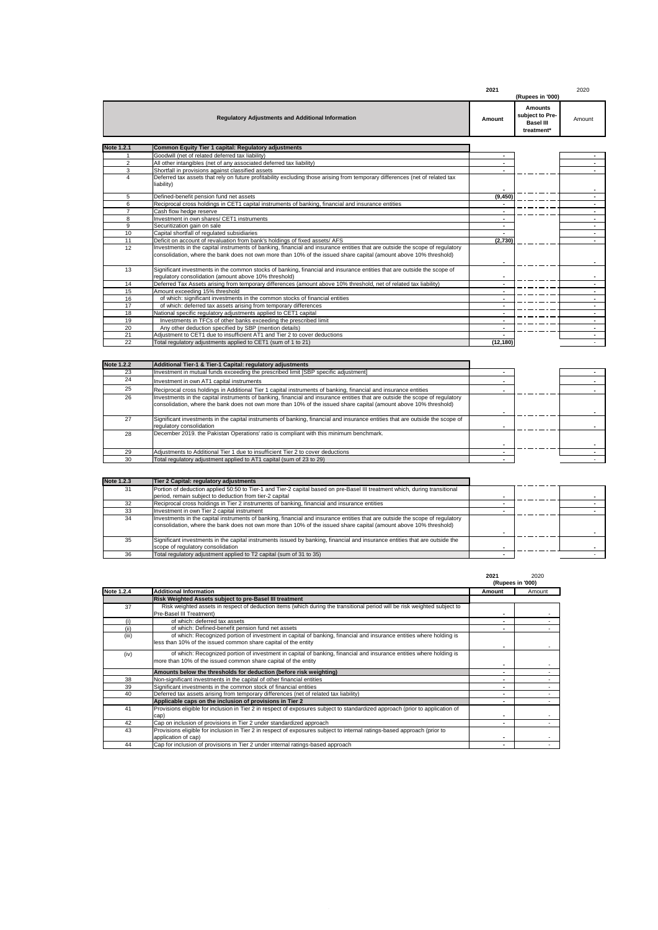|                |                                                                                                                                                                                                                                                   | 2021     | (Rupees in '000)                                                    | 2020                     |
|----------------|---------------------------------------------------------------------------------------------------------------------------------------------------------------------------------------------------------------------------------------------------|----------|---------------------------------------------------------------------|--------------------------|
|                | <b>Regulatory Adjustments and Additional Information</b>                                                                                                                                                                                          | Amount   | <b>Amounts</b><br>subject to Pre-<br><b>Basel III</b><br>treatment* | Amount                   |
| Note 1.2.1     | Common Equity Tier 1 capital: Regulatory adjustments                                                                                                                                                                                              |          |                                                                     |                          |
|                | Goodwill (net of related deferred tax liability)                                                                                                                                                                                                  |          |                                                                     |                          |
| $\overline{2}$ | All other intangibles (net of any associated deferred tax liability)                                                                                                                                                                              |          |                                                                     |                          |
| 3              | Shortfall in provisions against classified assets                                                                                                                                                                                                 |          |                                                                     |                          |
| $\mathbf{A}$   | Deferred tax assets that rely on future profitability excluding those arising from temporary differences (net of related tax<br>liability)                                                                                                        |          |                                                                     |                          |
| 5              | Defined-benefit pension fund net assets                                                                                                                                                                                                           | (9, 450) |                                                                     |                          |
| 6              | Reciprocal cross holdings in CET1 capital instruments of banking, financial and insurance entities                                                                                                                                                |          |                                                                     |                          |
| $\overline{7}$ | Cash flow hedge reserve                                                                                                                                                                                                                           |          |                                                                     |                          |
| 8              | Investment in own shares/ CET1 instruments                                                                                                                                                                                                        |          |                                                                     | ۰.                       |
| 9              | Securitization gain on sale                                                                                                                                                                                                                       | ۰        |                                                                     | $\sim$                   |
| 10             | Capital shortfall of regulated subsidiaries                                                                                                                                                                                                       |          |                                                                     | $\sim$                   |
| 11             | Deficit on account of revaluation from bank's holdings of fixed assets/ AFS                                                                                                                                                                       | (2,730)  |                                                                     |                          |
| 12             | Investments in the capital instruments of banking, financial and insurance entities that are outside the scope of requlatory<br>consolidation, where the bank does not own more than 10% of the issued share capital (amount above 10% threshold) |          |                                                                     |                          |
| 13             | Significant investments in the common stocks of banking, financial and insurance entities that are outside the scope of<br>regulatory consolidation (amount above 10% threshold)                                                                  |          |                                                                     |                          |
| 14             | Deferred Tax Assets arising from temporary differences (amount above 10% threshold, net of related tax liability)                                                                                                                                 |          |                                                                     |                          |
| 15             | Amount exceeding 15% threshold                                                                                                                                                                                                                    |          |                                                                     |                          |
| 16             | of which: significant investments in the common stocks of financial entities                                                                                                                                                                      |          |                                                                     | $\sim$                   |
| 17             | of which: deferred tax assets arising from temporary differences                                                                                                                                                                                  |          |                                                                     | $\sim$                   |
| 18             | National specific regulatory adjustments applied to CET1 capital                                                                                                                                                                                  |          |                                                                     | $\overline{\phantom{a}}$ |
| 19             | Investments in TFCs of other banks exceeding the prescribed limit                                                                                                                                                                                 |          |                                                                     | $\overline{\phantom{a}}$ |
| 20             | Any other deduction specified by SBP (mention details)                                                                                                                                                                                            |          |                                                                     |                          |
| 21             | Adjustment to CET1 due to insufficient AT1 and Tier 2 to cover deductions                                                                                                                                                                         |          |                                                                     | $\sim$                   |
| 22             | Total regulatory adjustments applied to CET1 (sum of 1 to 21)                                                                                                                                                                                     | (12.180) |                                                                     |                          |

| <b>Note 1.2.2</b> | Additional Tier-1 & Tier-1 Capital: regulatory adjustments                                                                                                                                                                                        |  |  |
|-------------------|---------------------------------------------------------------------------------------------------------------------------------------------------------------------------------------------------------------------------------------------------|--|--|
| 23                | Investment in mutual funds exceeding the prescribed limit [SBP specific adjustment]                                                                                                                                                               |  |  |
| 24                | Investment in own AT1 capital instruments                                                                                                                                                                                                         |  |  |
| 25                | Reciprocal cross holdings in Additional Tier 1 capital instruments of banking, financial and insurance entities                                                                                                                                   |  |  |
| 26                | Investments in the capital instruments of banking, financial and insurance entities that are outside the scope of requlatory<br>consolidation, where the bank does not own more than 10% of the issued share capital (amount above 10% threshold) |  |  |
| 27                | Significant investments in the capital instruments of banking, financial and insurance entities that are outside the scope of<br>regulatory consolidation                                                                                         |  |  |
| 28                | December 2019, the Pakistan Operations' ratio is compliant with this minimum benchmark.                                                                                                                                                           |  |  |
| 29                | Adjustments to Additional Tier 1 due to insufficient Tier 2 to cover deductions                                                                                                                                                                   |  |  |
| 30                | Total regulatory adjustment applied to AT1 capital (sum of 23 to 29)                                                                                                                                                                              |  |  |

| <b>Note 1.2.3</b> | Tier 2 Capital: regulatory adjustments                                                                                                                                                                                                            |  |  |
|-------------------|---------------------------------------------------------------------------------------------------------------------------------------------------------------------------------------------------------------------------------------------------|--|--|
| 31                | Portion of deduction applied 50:50 to Tier-1 and Tier-2 capital based on pre-Basel III treatment which, during transitional                                                                                                                       |  |  |
|                   | period, remain subject to deduction from tier-2 capital                                                                                                                                                                                           |  |  |
|                   | Reciprocal cross holdings in Tier 2 instruments of banking, financial and insurance entities                                                                                                                                                      |  |  |
|                   | Investment in own Tier 2 capital instrument                                                                                                                                                                                                       |  |  |
| 34                | Investments in the capital instruments of banking, financial and insurance entities that are outside the scope of requlatory<br>consolidation, where the bank does not own more than 10% of the issued share capital (amount above 10% threshold) |  |  |
| 35                | Significant investments in the capital instruments issued by banking, financial and insurance entities that are outside the<br>scope of regulatory consolidation                                                                                  |  |  |
| 36                | Total regulatory adjustment applied to T2 capital (sum of 31 to 35)                                                                                                                                                                               |  |  |

|            |                                                                                                                                                                                       | 2021   | 2020<br>(Rupees in '000) |
|------------|---------------------------------------------------------------------------------------------------------------------------------------------------------------------------------------|--------|--------------------------|
| Note 1.2.4 | <b>Additional Information</b>                                                                                                                                                         | Amount | Amount                   |
|            | Risk Weighted Assets subject to pre-Basel III treatment                                                                                                                               |        |                          |
| 37         | Risk weighted assets in respect of deduction items (which during the transitional period will be risk weighted subject to<br>Pre-Basel III Treatment)                                 |        |                          |
| (i)        | of which: deferred tax assets                                                                                                                                                         | ۰      |                          |
| (ii)       | of which: Defined-benefit pension fund net assets                                                                                                                                     |        |                          |
| (iii)      | of which: Recognized portion of investment in capital of banking, financial and insurance entities where holding is<br>less than 10% of the issued common share capital of the entity |        |                          |
| (iv)       | of which: Recognized portion of investment in capital of banking, financial and insurance entities where holding is<br>more than 10% of the issued common share capital of the entity |        |                          |
|            | Amounts below the thresholds for deduction (before risk weighting)                                                                                                                    |        |                          |
| 38         | Non-significant investments in the capital of other financial entities                                                                                                                |        |                          |
| 39         | Significant investments in the common stock of financial entities                                                                                                                     | ۰      |                          |
| 40         | Deferred tax assets arising from temporary differences (net of related tax liability)                                                                                                 |        |                          |
|            | Applicable caps on the inclusion of provisions in Tier 2                                                                                                                              |        |                          |
| 41         | Provisions eligible for inclusion in Tier 2 in respect of exposures subject to standardized approach (prior to application of<br>cap)                                                 | ۰      |                          |
| 42         | Cap on inclusion of provisions in Tier 2 under standardized approach                                                                                                                  |        |                          |
| 43         | Provisions eligible for inclusion in Tier 2 in respect of exposures subject to internal ratings-based approach (prior to<br>application of cap)                                       |        |                          |
| 44         | Cap for inclusion of provisions in Tier 2 under internal ratings-based approach                                                                                                       |        |                          |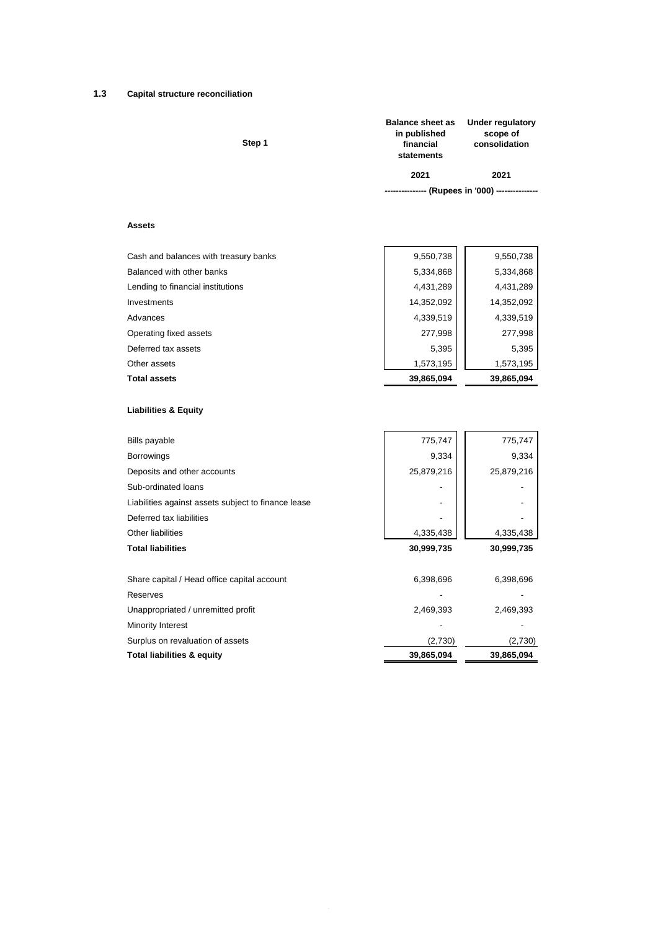## **1.3 Capital structure reconciliation**

| <b>Balance sheet as</b><br>in published<br>financial<br>statements | Under regulatory<br>scope of<br>consolidation     |
|--------------------------------------------------------------------|---------------------------------------------------|
| 2021                                                               | 2021                                              |
|                                                                    | --------------- (Rupees in '000) ---------------- |
|                                                                    |                                                   |

## **Assets**

| <b>Total assets</b>                   | 39,865,094 | 39,865,094 |
|---------------------------------------|------------|------------|
| Other assets                          | 1,573,195  | 1,573,195  |
| Deferred tax assets                   | 5,395      | 5,395      |
| Operating fixed assets                | 277,998    | 277,998    |
| Advances                              | 4,339,519  | 4,339,519  |
| Investments                           | 14,352,092 | 14,352,092 |
| Lending to financial institutions     | 4,431,289  | 4,431,289  |
| Balanced with other banks             | 5,334,868  | 5,334,868  |
| Cash and balances with treasury banks | 9,550,738  | 9,550,738  |
|                                       |            |            |

## **Liabilities & Equity**

| <b>Bills payable</b>                                | 775,747    | 775,747    |
|-----------------------------------------------------|------------|------------|
| <b>Borrowings</b>                                   | 9,334      | 9,334      |
| Deposits and other accounts                         | 25,879,216 | 25,879,216 |
| Sub-ordinated loans                                 |            |            |
| Liabilities against assets subject to finance lease |            |            |
| Deferred tax liabilities                            |            |            |
| Other liabilities                                   | 4,335,438  | 4,335,438  |
| <b>Total liabilities</b>                            | 30,999,735 | 30,999,735 |
|                                                     |            |            |
| Share capital / Head office capital account         | 6,398,696  | 6,398,696  |
| Reserves                                            |            |            |
| Unappropriated / unremitted profit                  | 2,469,393  | 2,469,393  |
| Minority Interest                                   |            |            |
| Surplus on revaluation of assets                    | (2,730)    | (2,730)    |
| <b>Total liabilities &amp; equity</b>               | 39,865,094 | 39,865,094 |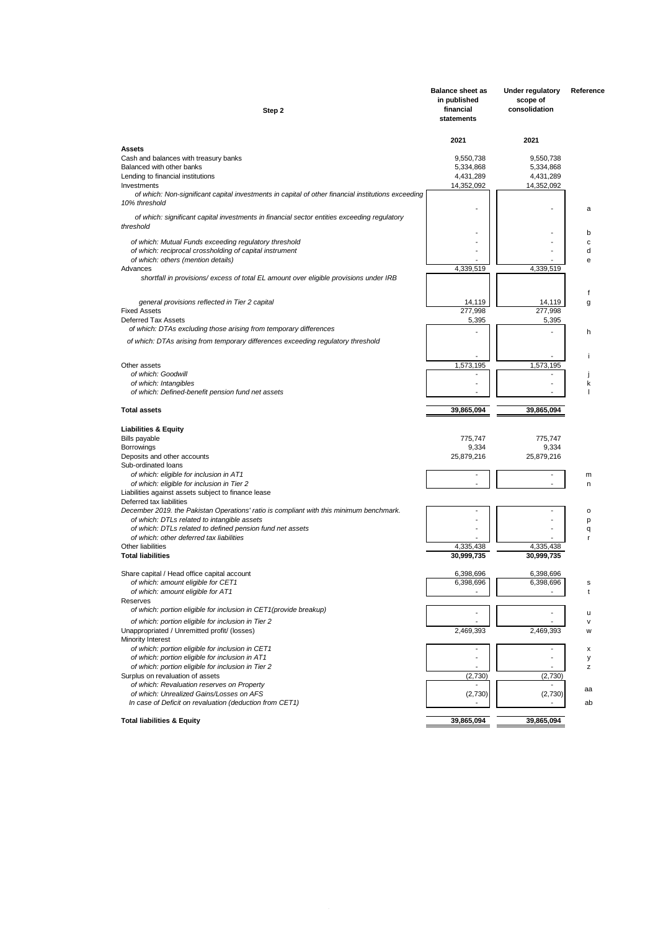| Step 2                                                                                                           | <b>Balance sheet as</b><br>in published<br>financial<br>statements | Under regulatory<br>scope of<br>consolidation | Reference |
|------------------------------------------------------------------------------------------------------------------|--------------------------------------------------------------------|-----------------------------------------------|-----------|
| <b>Assets</b>                                                                                                    | 2021                                                               | 2021                                          |           |
| Cash and balances with treasury banks                                                                            | 9,550,738                                                          | 9,550,738                                     |           |
| Balanced with other banks                                                                                        | 5,334,868                                                          | 5,334,868                                     |           |
| Lending to financial institutions<br>Investments                                                                 | 4,431,289<br>14,352,092                                            | 4,431,289<br>14,352,092                       |           |
| of which: Non-significant capital investments in capital of other financial institutions exceeding               |                                                                    |                                               |           |
| 10% threshold                                                                                                    |                                                                    |                                               | a         |
| of which: significant capital investments in financial sector entities exceeding regulatory<br>threshold         |                                                                    |                                               |           |
|                                                                                                                  |                                                                    |                                               | b<br>c    |
| of which: Mutual Funds exceeding regulatory threshold<br>of which: reciprocal crossholding of capital instrument |                                                                    |                                               | d         |
| of which: others (mention details)                                                                               |                                                                    |                                               | e         |
| Advances                                                                                                         | 4,339,519                                                          | 4,339,519                                     |           |
| shortfall in provisions/excess of total EL amount over eligible provisions under IRB                             |                                                                    |                                               |           |
| general provisions reflected in Tier 2 capital                                                                   | 14,119                                                             | 14,119                                        | f<br>g    |
| <b>Fixed Assets</b>                                                                                              | 277,998                                                            | 277,998                                       |           |
| Deferred Tax Assets                                                                                              | 5,395                                                              | 5,395                                         |           |
| of which: DTAs excluding those arising from temporary differences                                                |                                                                    |                                               | h         |
| of which: DTAs arising from temporary differences exceeding regulatory threshold                                 |                                                                    |                                               |           |
| Other assets                                                                                                     | 1,573,195                                                          | 1,573,195                                     | п         |
| of which: Goodwill                                                                                               |                                                                    |                                               |           |
| of which: Intangibles                                                                                            |                                                                    |                                               | k         |
| of which: Defined-benefit pension fund net assets                                                                |                                                                    |                                               |           |
| <b>Total assets</b>                                                                                              | 39,865,094                                                         | 39,865,094                                    |           |
| <b>Liabilities &amp; Equity</b>                                                                                  |                                                                    |                                               |           |
| <b>Bills payable</b>                                                                                             | 775,747                                                            | 775,747                                       |           |
| Borrowings                                                                                                       | 9,334                                                              | 9,334                                         |           |
| Deposits and other accounts                                                                                      | 25,879,216                                                         | 25,879,216                                    |           |
| Sub-ordinated loans                                                                                              |                                                                    |                                               |           |
| of which: eligible for inclusion in AT1<br>of which: eligible for inclusion in Tier 2                            |                                                                    |                                               | m<br>n    |
| Liabilities against assets subject to finance lease                                                              |                                                                    |                                               |           |
| Deferred tax liabilities                                                                                         |                                                                    |                                               |           |
| December 2019. the Pakistan Operations' ratio is compliant with this minimum benchmark.                          |                                                                    |                                               | o         |
| of which: DTLs related to intangible assets                                                                      |                                                                    |                                               | p         |
| of which: DTLs related to defined pension fund net assets<br>of which: other deferred tax liabilities            |                                                                    |                                               | q<br>r    |
| Other liabilities                                                                                                | 4,335,438                                                          | 4,335,438                                     |           |
| <b>Total liabilities</b>                                                                                         | 30,999,735                                                         | 30,999,735                                    |           |
|                                                                                                                  |                                                                    |                                               |           |
| Share capital / Head office capital account<br>of which: amount eligible for CET1                                | 6,398,696<br>6,398,696                                             | 6,398,696<br>6,398.696                        |           |
| of which: amount eligible for AT1                                                                                |                                                                    |                                               | t         |
| Reserves                                                                                                         |                                                                    |                                               |           |
| of which: portion eligible for inclusion in CET1(provide breakup)                                                |                                                                    |                                               | u         |
| of which: portion eligible for inclusion in Tier 2                                                               |                                                                    |                                               | v         |
| Unappropriated / Unremitted profit/ (losses)                                                                     | 2,469,393                                                          | 2,469,393                                     | W         |
| Minority Interest                                                                                                |                                                                    |                                               |           |
| of which: portion eligible for inclusion in CET1                                                                 |                                                                    |                                               | х         |
| of which: portion eligible for inclusion in AT1<br>of which: portion eligible for inclusion in Tier 2            |                                                                    |                                               | у         |
| Surplus on revaluation of assets                                                                                 | (2,730)                                                            | (2,730)                                       | z         |
| of which: Revaluation reserves on Property                                                                       |                                                                    |                                               |           |
| of which: Unrealized Gains/Losses on AFS                                                                         | (2,730)                                                            | (2,730)                                       | aa        |
| In case of Deficit on revaluation (deduction from CET1)                                                          |                                                                    |                                               | ab        |
| <b>Total liabilities &amp; Equity</b>                                                                            | 39,865,094                                                         | 39,865,094                                    |           |
|                                                                                                                  |                                                                    |                                               |           |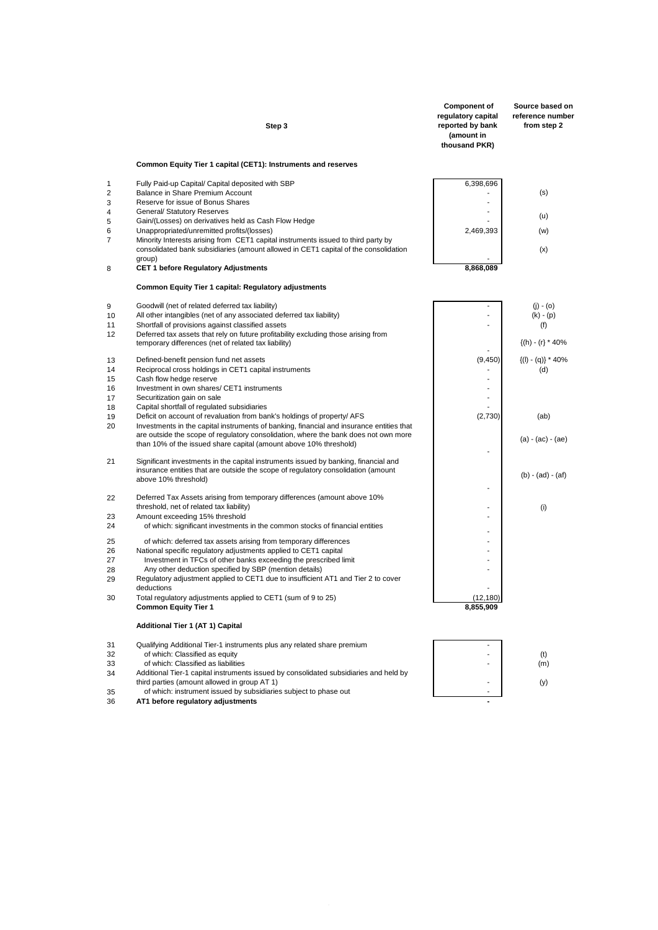|                | Step 3                                                                                                                                                                             | <b>Component of</b><br>regulatory capital<br>reported by bank<br>(amount in<br>thousand PKR) | Source based on<br>reference number<br>from step 2 |
|----------------|------------------------------------------------------------------------------------------------------------------------------------------------------------------------------------|----------------------------------------------------------------------------------------------|----------------------------------------------------|
|                | Common Equity Tier 1 capital (CET1): Instruments and reserves                                                                                                                      |                                                                                              |                                                    |
| 1              | Fully Paid-up Capital/ Capital deposited with SBP                                                                                                                                  | 6,398,696                                                                                    |                                                    |
| $\overline{2}$ | Balance in Share Premium Account                                                                                                                                                   |                                                                                              | (s)                                                |
| 3              | Reserve for issue of Bonus Shares                                                                                                                                                  | $\blacksquare$                                                                               |                                                    |
| 4<br>5         | <b>General/ Statutory Reserves</b><br>Gain/(Losses) on derivatives held as Cash Flow Hedge                                                                                         | ٠                                                                                            | (u)                                                |
| 6              | Unappropriated/unremitted profits/(losses)                                                                                                                                         | 2,469,393                                                                                    | (w)                                                |
| 7              | Minority Interests arising from CET1 capital instruments issued to third party by<br>consolidated bank subsidiaries (amount allowed in CET1 capital of the consolidation<br>group) |                                                                                              | (x)                                                |
| 8              | <b>CET 1 before Regulatory Adjustments</b>                                                                                                                                         | 8,868,089                                                                                    |                                                    |
|                | Common Equity Tier 1 capital: Regulatory adjustments                                                                                                                               |                                                                                              |                                                    |
| 9              | Goodwill (net of related deferred tax liability)                                                                                                                                   | $\overline{a}$                                                                               | $(j) - (o)$                                        |
| 10             | All other intangibles (net of any associated deferred tax liability)                                                                                                               |                                                                                              | $(k) - (p)$                                        |
| 11             | Shortfall of provisions against classified assets                                                                                                                                  | ٠                                                                                            | (f)                                                |
| 12             | Deferred tax assets that rely on future profitability excluding those arising from                                                                                                 |                                                                                              | $\{(h) - (r) * 40\%$                               |
|                | temporary differences (net of related tax liability)                                                                                                                               |                                                                                              |                                                    |
| 13             | Defined-benefit pension fund net assets                                                                                                                                            | (9,450)                                                                                      | $\{(I) - (q)\} * 40\%$                             |
| 14             | Reciprocal cross holdings in CET1 capital instruments                                                                                                                              |                                                                                              | (d)                                                |
| 15<br>16       | Cash flow hedge reserve<br>Investment in own shares/ CET1 instruments                                                                                                              |                                                                                              |                                                    |
| 17             | Securitization gain on sale                                                                                                                                                        | ٠                                                                                            |                                                    |
| 18             | Capital shortfall of regulated subsidiaries                                                                                                                                        |                                                                                              |                                                    |
| 19             | Deficit on account of revaluation from bank's holdings of property/ AFS                                                                                                            | (2,730)                                                                                      | (ab)                                               |
| 20             | Investments in the capital instruments of banking, financial and insurance entities that<br>are outside the scope of regulatory consolidation, where the bank does not own more    |                                                                                              |                                                    |
|                | than 10% of the issued share capital (amount above 10% threshold)                                                                                                                  | L,                                                                                           | $(a) - (ac) - (ae)$                                |
| 21             | Significant investments in the capital instruments issued by banking, financial and                                                                                                |                                                                                              |                                                    |
|                | insurance entities that are outside the scope of regulatory consolidation (amount                                                                                                  |                                                                                              | $(b) - (ad) - (af)$                                |
|                | above 10% threshold)                                                                                                                                                               | Ĭ.                                                                                           |                                                    |
| 22             | Deferred Tax Assets arising from temporary differences (amount above 10%                                                                                                           |                                                                                              |                                                    |
|                | threshold, net of related tax liability)                                                                                                                                           |                                                                                              | (i)                                                |
| 23             | Amount exceeding 15% threshold                                                                                                                                                     |                                                                                              |                                                    |
| 24             | of which: significant investments in the common stocks of financial entities                                                                                                       |                                                                                              |                                                    |
| 25             | of which: deferred tax assets arising from temporary differences                                                                                                                   |                                                                                              |                                                    |
| 26<br>27       | National specific regulatory adjustments applied to CET1 capital                                                                                                                   | ä,<br>٠                                                                                      |                                                    |
| 28             | Investment in TFCs of other banks exceeding the prescribed limit<br>Any other deduction specified by SBP (mention details)                                                         | ä,                                                                                           |                                                    |
| 29             | Regulatory adjustment applied to CET1 due to insufficient AT1 and Tier 2 to cover                                                                                                  |                                                                                              |                                                    |
|                | deductions                                                                                                                                                                         |                                                                                              |                                                    |
| 30             | Total regulatory adjustments applied to CET1 (sum of 9 to 25)                                                                                                                      | (12,180)                                                                                     |                                                    |
|                | <b>Common Equity Tier 1</b>                                                                                                                                                        | 8,855,909                                                                                    |                                                    |
|                | Additional Tier 1 (AT 1) Capital                                                                                                                                                   |                                                                                              |                                                    |
| 31             | Qualifying Additional Tier-1 instruments plus any related share premium                                                                                                            | ÷.                                                                                           |                                                    |
| 32             | of which: Classified as equity                                                                                                                                                     |                                                                                              | (t)                                                |
| 33<br>34       | of which: Classified as liabilities<br>Additional Tier-1 capital instruments issued by consolidated subsidiaries and held by                                                       |                                                                                              | (m)                                                |
|                | third parties (amount allowed in group AT 1)                                                                                                                                       |                                                                                              | (y)                                                |
| 35             | of which: instrument issued by subsidiaries subject to phase out                                                                                                                   |                                                                                              |                                                    |
| 36             | AT1 before regulatory adjustments                                                                                                                                                  |                                                                                              |                                                    |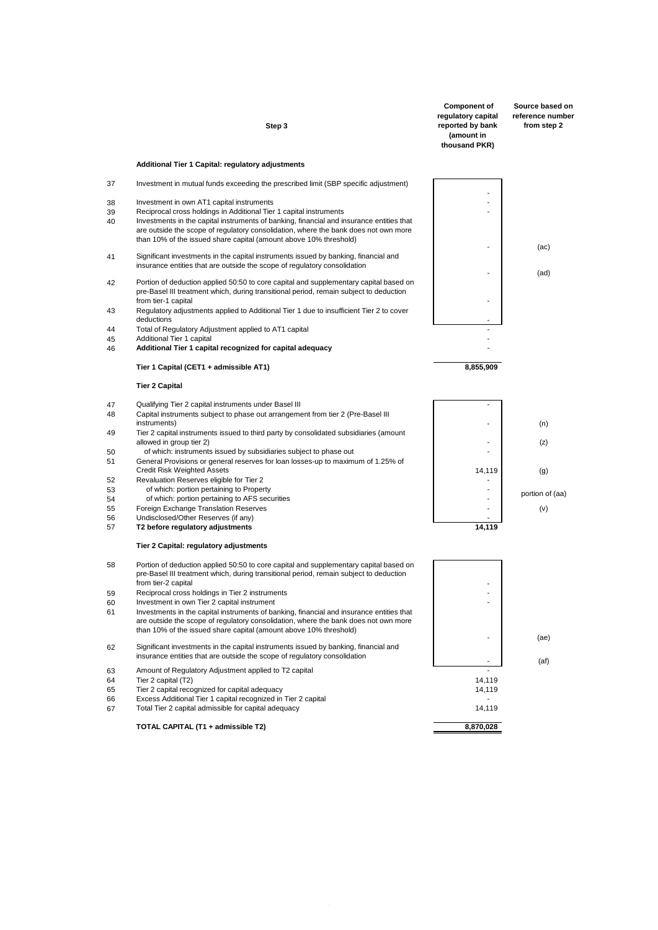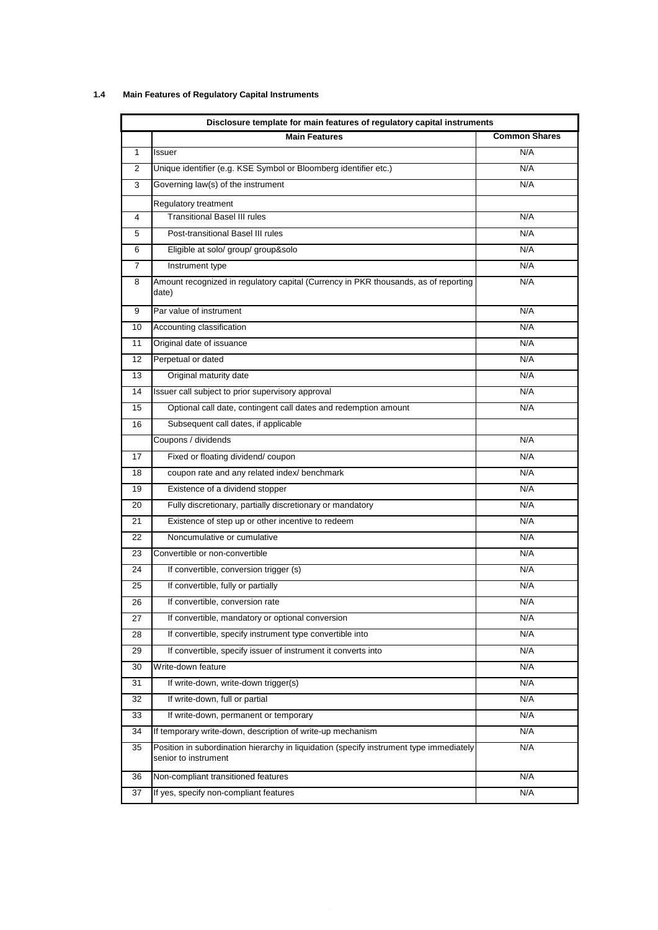# **1.4 Main Features of Regulatory Capital Instruments**

| Disclosure template for main features of regulatory capital instruments |                                                                                                                 |                      |  |
|-------------------------------------------------------------------------|-----------------------------------------------------------------------------------------------------------------|----------------------|--|
|                                                                         | <b>Main Features</b>                                                                                            | <b>Common Shares</b> |  |
| 1                                                                       | Issuer                                                                                                          | N/A                  |  |
| 2                                                                       | Unique identifier (e.g. KSE Symbol or Bloomberg identifier etc.)                                                | N/A                  |  |
| 3                                                                       | Governing law(s) of the instrument                                                                              | N/A                  |  |
|                                                                         | Regulatory treatment                                                                                            |                      |  |
| 4                                                                       | <b>Transitional Basel III rules</b>                                                                             | N/A                  |  |
| 5                                                                       | Post-transitional Basel III rules                                                                               | N/A                  |  |
| 6                                                                       | Eligible at solo/ group/ group&solo                                                                             | N/A                  |  |
| $\overline{7}$                                                          | Instrument type                                                                                                 | N/A                  |  |
| 8                                                                       | Amount recognized in regulatory capital (Currency in PKR thousands, as of reporting<br>date)                    | N/A                  |  |
| 9                                                                       | Par value of instrument                                                                                         | N/A                  |  |
| 10                                                                      | Accounting classification                                                                                       | N/A                  |  |
| 11                                                                      | Original date of issuance                                                                                       | N/A                  |  |
| 12                                                                      | Perpetual or dated                                                                                              | N/A                  |  |
| 13                                                                      | Original maturity date                                                                                          | N/A                  |  |
| 14                                                                      | Issuer call subject to prior supervisory approval                                                               | N/A                  |  |
| 15                                                                      | Optional call date, contingent call dates and redemption amount                                                 | N/A                  |  |
| 16                                                                      | Subsequent call dates, if applicable                                                                            |                      |  |
|                                                                         | Coupons / dividends                                                                                             | N/A                  |  |
| 17                                                                      | Fixed or floating dividend/coupon                                                                               | N/A                  |  |
| 18                                                                      | coupon rate and any related index/ benchmark                                                                    | N/A                  |  |
| 19                                                                      | Existence of a dividend stopper                                                                                 | N/A                  |  |
| 20                                                                      | Fully discretionary, partially discretionary or mandatory                                                       | N/A                  |  |
| 21                                                                      | Existence of step up or other incentive to redeem                                                               | N/A                  |  |
| 22                                                                      | Noncumulative or cumulative                                                                                     | N/A                  |  |
| 23                                                                      | Convertible or non-convertible                                                                                  | N/A                  |  |
| 24                                                                      | If convertible, conversion trigger (s)                                                                          | N/A                  |  |
| 25                                                                      | If convertible, fully or partially                                                                              | N/A                  |  |
| 26                                                                      | If convertible, conversion rate                                                                                 | N/A                  |  |
| 27                                                                      | If convertible, mandatory or optional conversion                                                                | N/A                  |  |
| 28                                                                      | If convertible, specify instrument type convertible into                                                        | N/A                  |  |
| 29                                                                      | If convertible, specify issuer of instrument it converts into                                                   | N/A                  |  |
| 30                                                                      | Write-down feature                                                                                              | N/A                  |  |
| 31                                                                      | If write-down, write-down trigger(s)                                                                            | N/A                  |  |
| 32                                                                      | If write-down, full or partial                                                                                  | N/A                  |  |
| 33                                                                      | If write-down, permanent or temporary                                                                           | N/A                  |  |
| 34                                                                      | If temporary write-down, description of write-up mechanism                                                      | N/A                  |  |
| 35                                                                      | Position in subordination hierarchy in liquidation (specify instrument type immediately<br>senior to instrument | N/A                  |  |
| 36                                                                      | Non-compliant transitioned features                                                                             | N/A                  |  |
| 37                                                                      | If yes, specify non-compliant features                                                                          | N/A                  |  |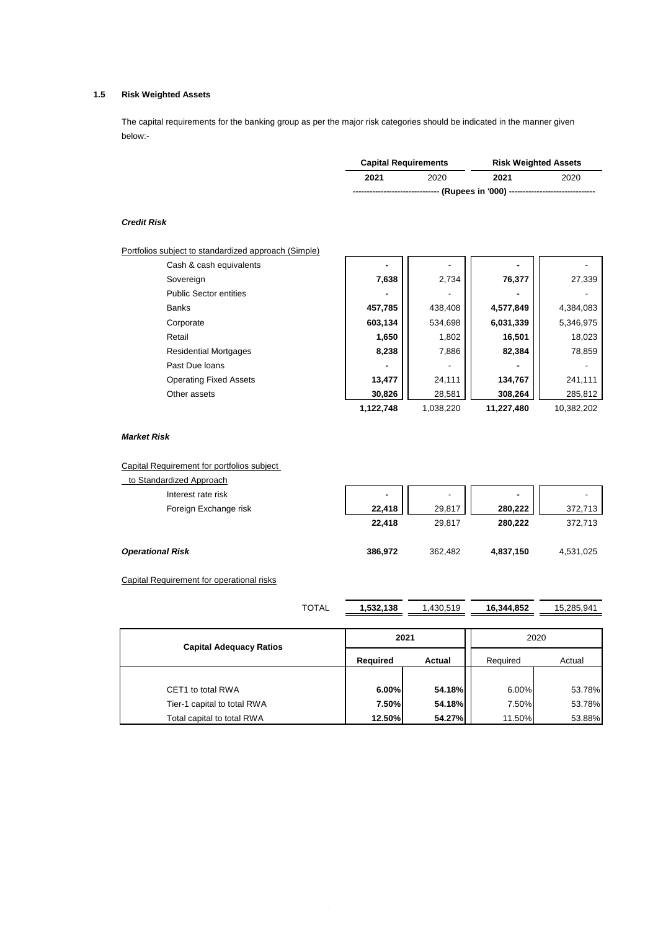# **1.5 Risk Weighted Assets**

The capital requirements for the banking group as per the major risk categories should be indicated in the manner given below:-

|                                                                             | <b>Capital Requirements</b> |      | <b>Risk Weighted Assets</b> |  |
|-----------------------------------------------------------------------------|-----------------------------|------|-----------------------------|--|
| 2021                                                                        | 2020                        | 2021 | 2020                        |  |
| ------------------------- (Rupees in '000) -------------------------------- |                             |      |                             |  |

## *Credit Risk*

| Portfolios subject to standardized approach (Simple) |                |           |                  |            |  |  |
|------------------------------------------------------|----------------|-----------|------------------|------------|--|--|
| Cash & cash equivalents                              |                |           |                  |            |  |  |
| Sovereign                                            | 7,638          | 2,734     | 76,377           | 27,339     |  |  |
| <b>Public Sector entities</b>                        |                |           |                  |            |  |  |
| <b>Banks</b>                                         | 457,785        | 438,408   | 4,577,849        | 4,384,083  |  |  |
| Corporate                                            | 603,134        | 534,698   | 6,031,339        | 5,346,975  |  |  |
| Retail                                               | 1,650<br>8,238 | 1,802     | 16,501<br>82,384 | 18,023     |  |  |
| <b>Residential Mortgages</b>                         |                | 7,886     |                  | 78,859     |  |  |
| Past Due loans                                       |                |           |                  |            |  |  |
| <b>Operating Fixed Assets</b>                        | 13,477         | 24,111    | 134,767          | 241,111    |  |  |
| Other assets                                         | 30,826         | 28,581    | 308,264          | 285,812    |  |  |
|                                                      | 1,122,748      | 1,038,220 | 11,227,480       | 10,382,202 |  |  |

#### *Market Risk*

Capital Requirement for portfolios subject

| to Standardized Approach |                |                          |                          |           |
|--------------------------|----------------|--------------------------|--------------------------|-----------|
| Interest rate risk       | $\blacksquare$ | $\overline{\phantom{a}}$ | $\overline{\phantom{a}}$ |           |
| Foreign Exchange risk    | 22.418         | 29,817                   | 280.222                  | 372,713   |
|                          | 22,418         | 29,817                   | 280.222                  | 372,713   |
| <b>Operational Risk</b>  | 386,972        | 362,482                  | 4,837,150                | 4,531,025 |

Capital Requirement for operational risks

| <b>TOTAL</b>                   | 1,532,138 | 1,430,519 |                    | 15,285,941 |  |
|--------------------------------|-----------|-----------|--------------------|------------|--|
|                                | 2020      |           |                    |            |  |
| <b>Capital Adequacy Ratios</b> | Required  | Actual    | Required<br>Actual |            |  |
|                                |           |           |                    |            |  |
| CET1 to total RWA              | 6.00%     | 54.18%    | 6.00%              | 53.78%     |  |
| Tier-1 capital to total RWA    | 7.50%     | 54.18%    | 7.50%              | 53.78%     |  |
| Total capital to total RWA     | 12.50%    | 54.27%    | 11.50%             | 53.88%     |  |